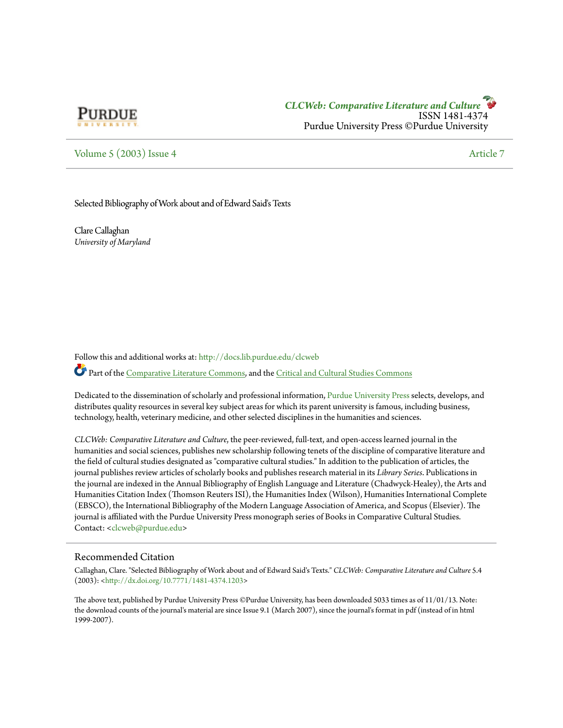

## [Volume 5](http://docs.lib.purdue.edu/clcweb/vol5?utm_source=docs.lib.purdue.edu%2Fclcweb%2Fvol5%2Fiss4%2F7&utm_medium=PDF&utm_campaign=PDFCoverPages) [\(2003\) Issue 4](http://docs.lib.purdue.edu/clcweb/vol5/iss4?utm_source=docs.lib.purdue.edu%2Fclcweb%2Fvol5%2Fiss4%2F7&utm_medium=PDF&utm_campaign=PDFCoverPages) [Article 7](http://docs.lib.purdue.edu/clcweb/vol5/iss4/7?utm_source=docs.lib.purdue.edu%2Fclcweb%2Fvol5%2Fiss4%2F7&utm_medium=PDF&utm_campaign=PDFCoverPages)

#### Selected Bibliography of Work about and of Edward Said's Texts

Clare Callaghan *University of Maryland*

Follow this and additional works at: [http://docs.lib.purdue.edu/clcweb](http://docs.lib.purdue.edu/clcweb?utm_source=docs.lib.purdue.edu%2Fclcweb%2Fvol5%2Fiss4%2F7&utm_medium=PDF&utm_campaign=PDFCoverPages)

Part of the [Comparative Literature Commons,](http://network.bepress.com/hgg/discipline/454?utm_source=docs.lib.purdue.edu%2Fclcweb%2Fvol5%2Fiss4%2F7&utm_medium=PDF&utm_campaign=PDFCoverPages) and the [Critical and Cultural Studies Commons](http://network.bepress.com/hgg/discipline/328?utm_source=docs.lib.purdue.edu%2Fclcweb%2Fvol5%2Fiss4%2F7&utm_medium=PDF&utm_campaign=PDFCoverPages)

Dedicated to the dissemination of scholarly and professional information, [Purdue University Press](http://www.thepress.purdue.edu/) selects, develops, and distributes quality resources in several key subject areas for which its parent university is famous, including business, technology, health, veterinary medicine, and other selected disciplines in the humanities and sciences.

*CLCWeb: Comparative Literature and Culture*, the peer-reviewed, full-text, and open-access learned journal in the humanities and social sciences, publishes new scholarship following tenets of the discipline of comparative literature and the field of cultural studies designated as "comparative cultural studies." In addition to the publication of articles, the journal publishes review articles of scholarly books and publishes research material in its *Library Series*. Publications in the journal are indexed in the Annual Bibliography of English Language and Literature (Chadwyck-Healey), the Arts and Humanities Citation Index (Thomson Reuters ISI), the Humanities Index (Wilson), Humanities International Complete (EBSCO), the International Bibliography of the Modern Language Association of America, and Scopus (Elsevier). The journal is affiliated with the Purdue University Press monograph series of Books in Comparative Cultural Studies. Contact: [<clcweb@purdue.edu](mailto:clcweb@purdue.edu)>

### Recommended Citation

Callaghan, Clare. "Selected Bibliography of Work about and of Edward Said's Texts." *CLCWeb: Comparative Literature and Culture* 5.4 (2003): [<http://dx.doi.org/10.7771/1481-4374.1203>](http://dx.doi.org/10.7771/1481-4374.1203)

The above text, published by Purdue University Press ©Purdue University, has been downloaded 5033 times as of 11/01/13. Note: the download counts of the journal's material are since Issue 9.1 (March 2007), since the journal's format in pdf (instead of in html 1999-2007).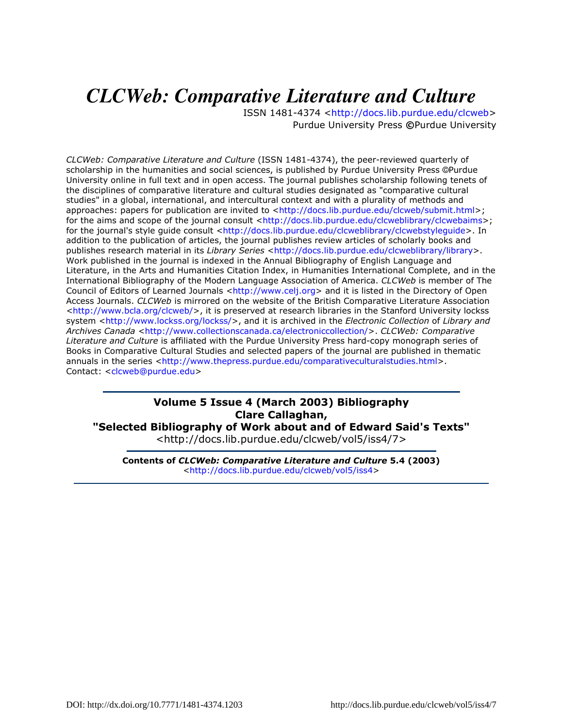# *CLCWeb: Comparative Literature and Culture*

ISSN 1481-4374 <http://docs.lib.purdue.edu/clcweb> Purdue University Press ©Purdue University

CLCWeb: Comparative Literature and Culture (ISSN 1481-4374), the peer-reviewed quarterly of scholarship in the humanities and social sciences, is published by Purdue University Press ©Purdue University online in full text and in open access. The journal publishes scholarship following tenets of the disciplines of comparative literature and cultural studies designated as "comparative cultural studies" in a global, international, and intercultural context and with a plurality of methods and approaches: papers for publication are invited to <http://docs.lib.purdue.edu/clcweb/submit.html>; for the aims and scope of the journal consult <http://docs.lib.purdue.edu/clcweblibrary/clcwebaims>; for the journal's style quide consult <http://docs.lib.purdue.edu/clcweblibrary/clcwebstylequide>. In addition to the publication of articles, the journal publishes review articles of scholarly books and publishes research material in its Library Series <http://docs.lib.purdue.edu/clcweblibrary/library>. Work published in the journal is indexed in the Annual Bibliography of English Language and Literature, in the Arts and Humanities Citation Index, in Humanities International Complete, and in the International Bibliography of the Modern Language Association of America. CLCWeb is member of The Council of Editors of Learned Journals <http://www.celj.org> and it is listed in the Directory of Open Access Journals. CLCWeb is mirrored on the website of the British Comparative Literature Association <http://www.bcla.org/clcweb/>, it is preserved at research libraries in the Stanford University lockss system <http://www.lockss.org/lockss/>, and it is archived in the Electronic Collection of Library and Archives Canada <http://www.collectionscanada.ca/electroniccollection/>. CLCWeb: Comparative Literature and Culture is affiliated with the Purdue University Press hard-copy monograph series of Books in Comparative Cultural Studies and selected papers of the journal are published in thematic annuals in the series <http://www.thepress.purdue.edu/comparativeculturalstudies.html>. Contact: <clcweb@purdue.edu>

## Volume 5 Issue 4 (March 2003) Bibliography Clare Callaghan,

"Selected Bibliography of Work about and of Edward Said's Texts" <http://docs.lib.purdue.edu/clcweb/vol5/iss4/7>

Contents of CLCWeb: Comparative Literature and Culture 5.4 (2003) <http://docs.lib.purdue.edu/clcweb/vol5/iss4>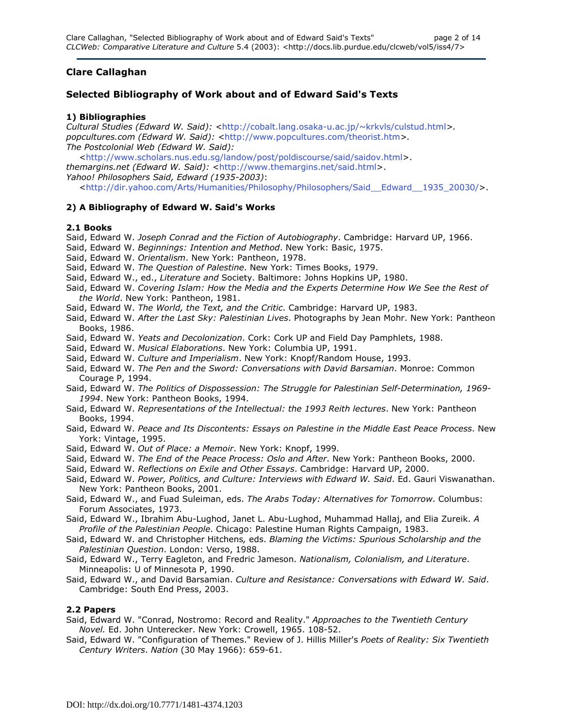## Clare Callaghan

## Selected Bibliography of Work about and of Edward Said's Texts

## 1) Bibliographies

Cultural Studies (Edward W. Said): <http://cobalt.lang.osaka-u.ac.jp/~krkvls/culstud.html>. popcultures.com (Edward W. Said): <http://www.popcultures.com/theorist.htm>. The Postcolonial Web (Edward W. Said):

 <http://www.scholars.nus.edu.sg/landow/post/poldiscourse/said/saidov.html>. themargins.net (Edward W. Said): <http://www.themargins.net/said.html>. Yahoo! Philosophers Said, Edward (1935-2003):

<http://dir.yahoo.com/Arts/Humanities/Philosophy/Philosophers/Said\_\_Edward\_\_1935\_20030/>.

## 2) A Bibliography of Edward W. Said's Works

### 2.1 Books

Said, Edward W. Joseph Conrad and the Fiction of Autobiography. Cambridge: Harvard UP, 1966.

- Said, Edward W. Beginnings: Intention and Method. New York: Basic, 1975.
- Said, Edward W. Orientalism. New York: Pantheon, 1978.
- Said, Edward W. The Question of Palestine. New York: Times Books, 1979.
- Said, Edward W., ed., Literature and Society. Baltimore: Johns Hopkins UP, 1980.
- Said, Edward W. Covering Islam: How the Media and the Experts Determine How We See the Rest of the World. New York: Pantheon, 1981.
- Said, Edward W. The World, the Text, and the Critic. Cambridge: Harvard UP, 1983.
- Said, Edward W. After the Last Sky: Palestinian Lives. Photographs by Jean Mohr. New York: Pantheon Books, 1986.
- Said, Edward W. Yeats and Decolonization. Cork: Cork UP and Field Day Pamphlets, 1988.
- Said, Edward W. Musical Elaborations. New York: Columbia UP, 1991.
- Said, Edward W. Culture and Imperialism. New York: Knopf/Random House, 1993.
- Said, Edward W. The Pen and the Sword: Conversations with David Barsamian. Monroe: Common Courage P, 1994.
- Said, Edward W. The Politics of Dispossession: The Struggle for Palestinian Self-Determination, 1969- 1994. New York: Pantheon Books, 1994.
- Said, Edward W. Representations of the Intellectual: the 1993 Reith lectures. New York: Pantheon Books, 1994.
- Said, Edward W. Peace and Its Discontents: Essays on Palestine in the Middle East Peace Process. New York: Vintage, 1995.
- Said, Edward W. Out of Place: a Memoir. New York: Knopf, 1999.
- Said, Edward W. The End of the Peace Process: Oslo and After. New York: Pantheon Books, 2000.
- Said, Edward W. Reflections on Exile and Other Essays. Cambridge: Harvard UP, 2000.
- Said, Edward W. Power, Politics, and Culture: Interviews with Edward W. Said. Ed. Gauri Viswanathan. New York: Pantheon Books, 2001.
- Said, Edward W., and Fuad Suleiman, eds. The Arabs Today: Alternatives for Tomorrow. Columbus: Forum Associates, 1973.
- Said, Edward W., Ibrahim Abu-Lughod, Janet L. Abu-Lughod, Muhammad Hallaj, and Elia Zureik. A Profile of the Palestinian People. Chicago: Palestine Human Rights Campaign, 1983.
- Said, Edward W. and Christopher Hitchens, eds. Blaming the Victims: Spurious Scholarship and the Palestinian Question. London: Verso, 1988.
- Said, Edward W., Terry Eagleton, and Fredric Jameson. Nationalism, Colonialism, and Literature. Minneapolis: U of Minnesota P, 1990.
- Said, Edward W., and David Barsamian. Culture and Resistance: Conversations with Edward W. Said. Cambridge: South End Press, 2003.

### 2.2 Papers

- Said, Edward W. "Conrad, Nostromo: Record and Reality." Approaches to the Twentieth Century Novel. Ed. John Unterecker. New York: Crowell, 1965. 108-52.
- Said, Edward W. "Configuration of Themes." Review of J. Hillis Miller's Poets of Reality: Six Twentieth Century Writers. Nation (30 May 1966): 659-61.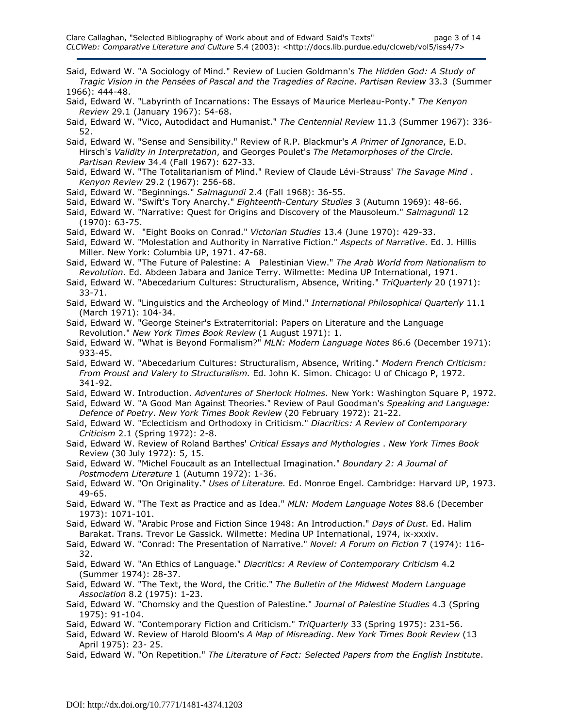Said, Edward W. "A Sociology of Mind." Review of Lucien Goldmann's The Hidden God: A Study of Tragic Vision in the Pensées of Pascal and the Tragedies of Racine. Partisan Review 33.3 (Summer 1966): 444-48.

- Said, Edward W. "Labyrinth of Incarnations: The Essays of Maurice Merleau-Ponty." The Kenyon Review 29.1 (January 1967): 54-68.
- Said, Edward W. "Vico, Autodidact and Humanist." The Centennial Review 11.3 (Summer 1967): 336- 52.

Said, Edward W. "Sense and Sensibility." Review of R.P. Blackmur's A Primer of Ignorance, E.D. Hirsch's Validity in Interpretation, and Georges Poulet's The Metamorphoses of the Circle. Partisan Review 34.4 (Fall 1967): 627-33.

- Said, Edward W. "The Totalitarianism of Mind." Review of Claude Lévi-Strauss' The Savage Mind . Kenyon Review 29.2 (1967): 256-68.
- Said, Edward W. "Beginnings." Salmagundi 2.4 (Fall 1968): 36-55.
- Said, Edward W. "Swift's Tory Anarchy." Eighteenth-Century Studies 3 (Autumn 1969): 48-66.
- Said, Edward W. "Narrative: Quest for Origins and Discovery of the Mausoleum." Salmagundi 12 (1970): 63-75.
- Said, Edward W. "Eight Books on Conrad." Victorian Studies 13.4 (June 1970): 429-33.
- Said, Edward W. "Molestation and Authority in Narrative Fiction." Aspects of Narrative. Ed. J. Hillis Miller. New York: Columbia UP, 1971. 47-68.
- Said, Edward W. "The Future of Palestine: A Palestinian View." The Arab World from Nationalism to Revolution. Ed. Abdeen Jabara and Janice Terry. Wilmette: Medina UP International, 1971.
- Said, Edward W. "Abecedarium Cultures: Structuralism, Absence, Writing." TriQuarterly 20 (1971): 33-71.
- Said, Edward W. "Linguistics and the Archeology of Mind." International Philosophical Quarterly 11.1 (March 1971): 104-34.
- Said, Edward W. "George Steiner's Extraterritorial: Papers on Literature and the Language Revolution." New York Times Book Review (1 August 1971): 1.
- Said, Edward W. "What is Beyond Formalism?" MLN: Modern Language Notes 86.6 (December 1971): 933-45.
- Said, Edward W. "Abecedarium Cultures: Structuralism, Absence, Writing." Modern French Criticism: From Proust and Valery to Structuralism. Ed. John K. Simon. Chicago: U of Chicago P, 1972. 341-92.
- Said, Edward W. Introduction. Adventures of Sherlock Holmes. New York: Washington Square P, 1972.
- Said, Edward W. "A Good Man Against Theories." Review of Paul Goodman's Speaking and Language: Defence of Poetry. New York Times Book Review (20 February 1972): 21-22.
- Said, Edward W. "Eclecticism and Orthodoxy in Criticism." Diacritics: A Review of Contemporary Criticism 2.1 (Spring 1972): 2-8.
- Said, Edward W. Review of Roland Barthes' Critical Essays and Mythologies . New York Times Book Review (30 July 1972): 5, 15.
- Said, Edward W. "Michel Foucault as an Intellectual Imagination." Boundary 2: A Journal of Postmodern Literature 1 (Autumn 1972): 1-36.
- Said, Edward W. "On Originality." Uses of Literature. Ed. Monroe Engel. Cambridge: Harvard UP, 1973. 49-65.
- Said, Edward W. "The Text as Practice and as Idea." MLN: Modern Language Notes 88.6 (December 1973): 1071-101.
- Said, Edward W. "Arabic Prose and Fiction Since 1948: An Introduction." Days of Dust. Ed. Halim Barakat. Trans. Trevor Le Gassick. Wilmette: Medina UP International, 1974, ix-xxxiv.
- Said, Edward W. "Conrad: The Presentation of Narrative." Novel: A Forum on Fiction 7 (1974): 116-32.
- Said, Edward W. "An Ethics of Language." Diacritics: A Review of Contemporary Criticism 4.2 (Summer 1974): 28-37.
- Said, Edward W. "The Text, the Word, the Critic." The Bulletin of the Midwest Modern Language Association 8.2 (1975): 1-23.
- Said, Edward W. "Chomsky and the Question of Palestine." Journal of Palestine Studies 4.3 (Spring 1975): 91-104.
- Said, Edward W. "Contemporary Fiction and Criticism." TriQuarterly 33 (Spring 1975): 231-56.
- Said, Edward W. Review of Harold Bloom's A Map of Misreading. New York Times Book Review (13 April 1975): 23- 25.
- Said, Edward W. "On Repetition." The Literature of Fact: Selected Papers from the English Institute.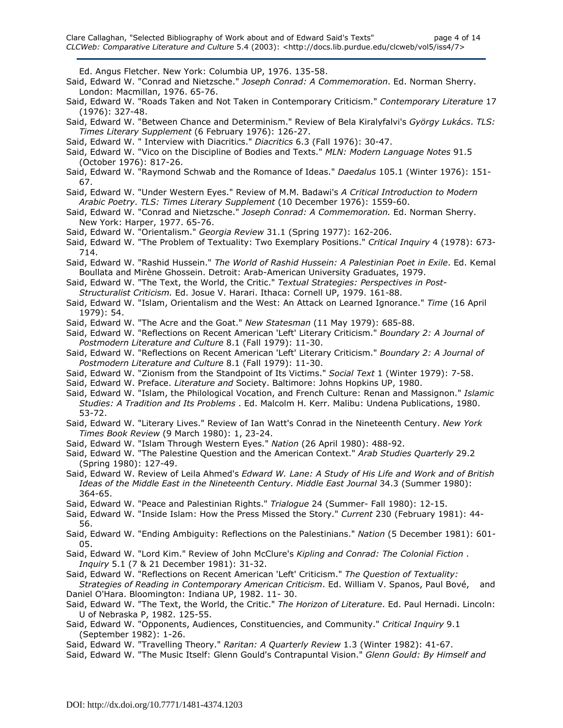Ed. Angus Fletcher. New York: Columbia UP, 1976. 135-58.

- Said, Edward W. "Conrad and Nietzsche." Joseph Conrad: A Commemoration. Ed. Norman Sherry. London: Macmillan, 1976. 65-76.
- Said, Edward W. "Roads Taken and Not Taken in Contemporary Criticism." Contemporary Literature 17 (1976): 327-48.
- Said, Edward W. "Between Chance and Determinism." Review of Bela Kiralyfalvi's György Lukács. TLS: Times Literary Supplement (6 February 1976): 126-27.
- Said, Edward W. " Interview with Diacritics." Diacritics 6.3 (Fall 1976): 30-47.
- Said, Edward W. "Vico on the Discipline of Bodies and Texts." MLN: Modern Language Notes 91.5 (October 1976): 817-26.
- Said, Edward W. "Raymond Schwab and the Romance of Ideas." Daedalus 105.1 (Winter 1976): 151-67.
- Said, Edward W. "Under Western Eyes." Review of M.M. Badawi's A Critical Introduction to Modern Arabic Poetry. TLS: Times Literary Supplement (10 December 1976): 1559-60.
- Said, Edward W. "Conrad and Nietzsche." Joseph Conrad: A Commemoration. Ed. Norman Sherry. New York: Harper, 1977. 65-76.
- Said, Edward W. "Orientalism." Georgia Review 31.1 (Spring 1977): 162-206.
- Said, Edward W. "The Problem of Textuality: Two Exemplary Positions." Critical Inquiry 4 (1978): 673-714.
- Said, Edward W. "Rashid Hussein." The World of Rashid Hussein: A Palestinian Poet in Exile. Ed. Kemal Boullata and Mirène Ghossein. Detroit: Arab-American University Graduates, 1979.
- Said, Edward W. "The Text, the World, the Critic." Textual Strategies: Perspectives in Post-Structuralist Criticism. Ed. Josue V. Harari. Ithaca: Cornell UP, 1979. 161-88.
- Said, Edward W. "Islam, Orientalism and the West: An Attack on Learned Ignorance." Time (16 April 1979): 54.
- Said, Edward W. "The Acre and the Goat." New Statesman (11 May 1979): 685-88.
- Said, Edward W. "Reflections on Recent American 'Left' Literary Criticism." Boundary 2: A Journal of Postmodern Literature and Culture 8.1 (Fall 1979): 11-30.
- Said, Edward W. "Reflections on Recent American 'Left' Literary Criticism." Boundary 2: A Journal of Postmodern Literature and Culture 8.1 (Fall 1979): 11-30.
- Said, Edward W. "Zionism from the Standpoint of Its Victims." Social Text 1 (Winter 1979): 7-58.
- Said, Edward W. Preface. Literature and Society. Baltimore: Johns Hopkins UP, 1980.
- Said, Edward W. "Islam, the Philological Vocation, and French Culture: Renan and Massignon." Islamic Studies: A Tradition and Its Problems . Ed. Malcolm H. Kerr. Malibu: Undena Publications, 1980. 53-72.
- Said, Edward W. "Literary Lives." Review of Ian Watt's Conrad in the Nineteenth Century. New York Times Book Review (9 March 1980): 1, 23-24.
- Said, Edward W. "Islam Through Western Eyes." Nation (26 April 1980): 488-92.
- Said, Edward W. "The Palestine Question and the American Context." Arab Studies Quarterly 29.2 (Spring 1980): 127-49.
- Said, Edward W. Review of Leila Ahmed's Edward W. Lane: A Study of His Life and Work and of British Ideas of the Middle East in the Nineteenth Century. Middle East Journal 34.3 (Summer 1980): 364-65.
- Said, Edward W. "Peace and Palestinian Rights." Trialogue 24 (Summer- Fall 1980): 12-15.
- Said, Edward W. "Inside Islam: How the Press Missed the Story." Current 230 (February 1981): 44- 56.
- Said, Edward W. "Ending Ambiguity: Reflections on the Palestinians." Nation (5 December 1981): 601-05.
- Said, Edward W. "Lord Kim." Review of John McClure's Kipling and Conrad: The Colonial Fiction . Inquiry 5.1 (7 & 21 December 1981): 31-32.
- Said, Edward W. "Reflections on Recent American 'Left' Criticism." The Question of Textuality:
- Strategies of Reading in Contemporary American Criticism. Ed. William V. Spanos, Paul Bové, and Daniel O'Hara. Bloomington: Indiana UP, 1982. 11- 30.
- Said, Edward W. "The Text, the World, the Critic." The Horizon of Literature. Ed. Paul Hernadi. Lincoln: U of Nebraska P, 1982. 125-55.
- Said, Edward W. "Opponents, Audiences, Constituencies, and Community." Critical Inquiry 9.1 (September 1982): 1-26.
- Said, Edward W. "Travelling Theory." Raritan: A Quarterly Review 1.3 (Winter 1982): 41-67.
- Said, Edward W. "The Music Itself: Glenn Gould's Contrapuntal Vision." Glenn Gould: By Himself and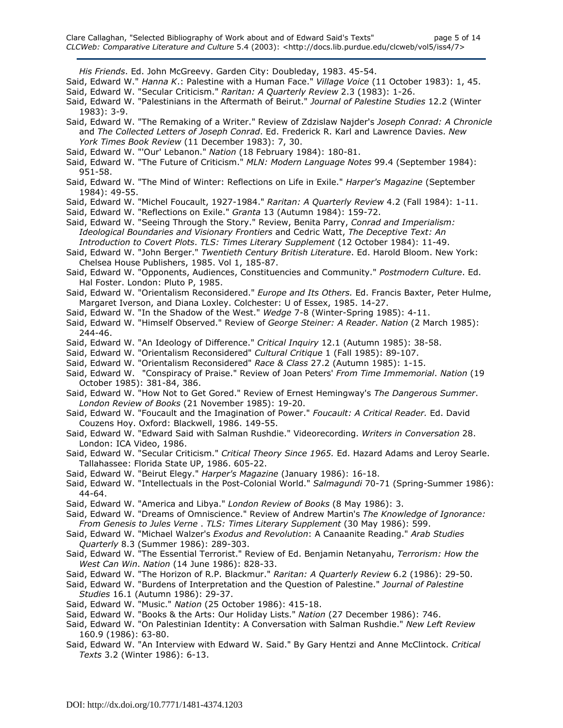His Friends. Ed. John McGreevy. Garden City: Doubleday, 1983. 45-54.

- Said, Edward W." Hanna K.: Palestine with a Human Face." Village Voice (11 October 1983): 1, 45. Said, Edward W. "Secular Criticism." Raritan: A Quarterly Review 2.3 (1983): 1-26.
- Said, Edward W. "Palestinians in the Aftermath of Beirut." Journal of Palestine Studies 12.2 (Winter 1983): 3-9.
- Said, Edward W. "The Remaking of a Writer." Review of Zdzislaw Najder's Joseph Conrad: A Chronicle and The Collected Letters of Joseph Conrad. Ed. Frederick R. Karl and Lawrence Davies. New York Times Book Review (11 December 1983): 7, 30.
- Said, Edward W. "'Our' Lebanon." Nation (18 February 1984): 180-81.
- Said, Edward W. "The Future of Criticism." MLN: Modern Language Notes 99.4 (September 1984): 951-58.
- Said, Edward W. "The Mind of Winter: Reflections on Life in Exile." Harper's Magazine (September 1984): 49-55.
- Said, Edward W. "Michel Foucault, 1927-1984." Raritan: A Quarterly Review 4.2 (Fall 1984): 1-11.

Said, Edward W. "Reflections on Exile." Granta 13 (Autumn 1984): 159-72.

- Said, Edward W. "Seeing Through the Story." Review, Benita Parry, Conrad and Imperialism: Ideological Boundaries and Visionary Frontiers and Cedric Watt, The Deceptive Text: An Introduction to Covert Plots. TLS: Times Literary Supplement (12 October 1984): 11-49.
- Said, Edward W. "John Berger." Twentieth Century British Literature. Ed. Harold Bloom. New York: Chelsea House Publishers, 1985. Vol 1, 185-87.
- Said, Edward W. "Opponents, Audiences, Constituencies and Community." Postmodern Culture. Ed. Hal Foster. London: Pluto P, 1985.
- Said, Edward W. "Orientalism Reconsidered." Europe and Its Others. Ed. Francis Baxter, Peter Hulme, Margaret Iverson, and Diana Loxley. Colchester: U of Essex, 1985. 14-27.
- Said, Edward W. "In the Shadow of the West." Wedge 7-8 (Winter-Spring 1985): 4-11.
- Said, Edward W. "Himself Observed." Review of George Steiner: A Reader. Nation (2 March 1985): 244-46.
- Said, Edward W. "An Ideology of Difference." Critical Inquiry 12.1 (Autumn 1985): 38-58.
- Said, Edward W. "Orientalism Reconsidered" Cultural Critique 1 (Fall 1985): 89-107.
- Said, Edward W. "Orientalism Reconsidered" Race & Class 27.2 (Autumn 1985): 1-15.
- Said, Edward W. "Conspiracy of Praise." Review of Joan Peters' From Time Immemorial. Nation (19 October 1985): 381-84, 386.
- Said, Edward W. "How Not to Get Gored." Review of Ernest Hemingway's The Dangerous Summer. London Review of Books (21 November 1985): 19-20.
- Said, Edward W. "Foucault and the Imagination of Power." Foucault: A Critical Reader. Ed. David Couzens Hoy. Oxford: Blackwell, 1986. 149-55.
- Said, Edward W. "Edward Said with Salman Rushdie." Videorecording. Writers in Conversation 28. London: ICA Video, 1986.
- Said, Edward W. "Secular Criticism." Critical Theory Since 1965. Ed. Hazard Adams and Leroy Searle. Tallahassee: Florida State UP, 1986. 605-22.
- Said, Edward W. "Beirut Elegy." Harper's Magazine (January 1986): 16-18.
- Said, Edward W. "Intellectuals in the Post-Colonial World." Salmagundi 70-71 (Spring-Summer 1986): 44-64.
- Said, Edward W. "America and Libya." London Review of Books (8 May 1986): 3.
- Said, Edward W. "Dreams of Omniscience." Review of Andrew Martin's The Knowledge of Ignorance: From Genesis to Jules Verne . TLS: Times Literary Supplement (30 May 1986): 599.
- Said, Edward W. "Michael Walzer's Exodus and Revolution: A Canaanite Reading." Arab Studies Quarterly 8.3 (Summer 1986): 289-303.
- Said, Edward W. "The Essential Terrorist." Review of Ed. Benjamin Netanyahu, Terrorism: How the West Can Win. Nation (14 June 1986): 828-33.
- Said, Edward W. "The Horizon of R.P. Blackmur." Raritan: A Quarterly Review 6.2 (1986): 29-50.
- Said, Edward W. "Burdens of Interpretation and the Question of Palestine." Journal of Palestine Studies 16.1 (Autumn 1986): 29-37.
- Said, Edward W. "Music." Nation (25 October 1986): 415-18.
- Said, Edward W. "Books & the Arts: Our Holiday Lists." Nation (27 December 1986): 746.
- Said, Edward W. "On Palestinian Identity: A Conversation with Salman Rushdie." New Left Review 160.9 (1986): 63-80.
- Said, Edward W. "An Interview with Edward W. Said." By Gary Hentzi and Anne McClintock. Critical Texts 3.2 (Winter 1986): 6-13.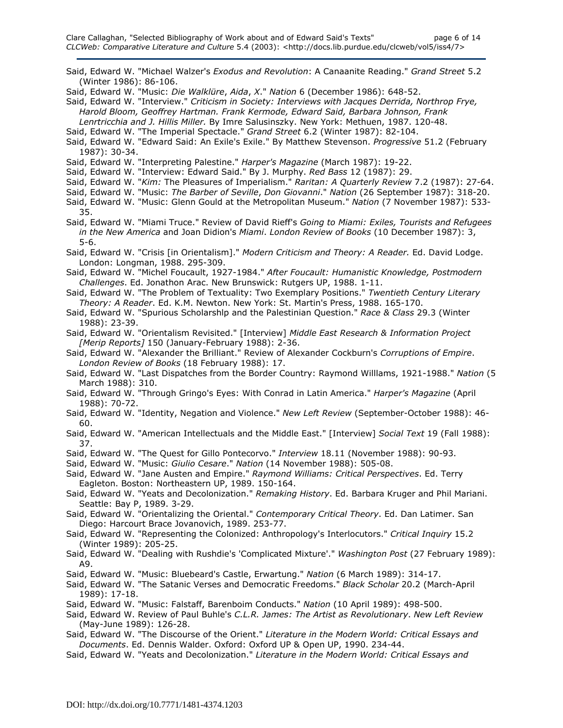- Said, Edward W. "Michael Walzer's Exodus and Revolution: A Canaanite Reading." Grand Street 5.2 (Winter 1986): 86-106.
- Said, Edward W. "Music: Die Walklüre, Aida, X." Nation 6 (December 1986): 648-52.
- Said, Edward W. "Interview." Criticism in Society: Interviews with Jacques Derrida, Northrop Frye, Harold Bloom, Geoffrey Hartman. Frank Kermode, Edward Said, Barbara Johnson, Frank Lenrtricchia and J. Hillis Miller. By Imre Salusinszky. New York: Methuen, 1987. 120-48.
- Said, Edward W. "The Imperial Spectacle." Grand Street 6.2 (Winter 1987): 82-104.

Said, Edward W. "Edward Said: An Exile's Exile." By Matthew Stevenson. Progressive 51.2 (February 1987): 30-34.

Said, Edward W. "Interpreting Palestine." Harper's Magazine (March 1987): 19-22.

Said, Edward W. "Interview: Edward Said." By J. Murphy. Red Bass 12 (1987): 29.

- Said, Edward W. "Kim: The Pleasures of Imperialism." Raritan: A Quarterly Review 7.2 (1987): 27-64.
- Said, Edward W. "Music: The Barber of Seville, Don Giovanni." Nation (26 September 1987): 318-20.
- Said, Edward W. "Music: Glenn Gould at the Metropolitan Museum." Nation (7 November 1987): 533-35.
- Said, Edward W. "Miami Truce." Review of David Rieff's Going to Miami: Exiles, Tourists and Refugees in the New America and Joan Didion's Miami. London Review of Books (10 December 1987): 3, 5-6.
- Said, Edward W. "Crisis [in Orientalism]." Modern Criticism and Theory: A Reader. Ed. David Lodge. London: Longman, 1988. 295-309.
- Said, Edward W. "Michel Foucault, 1927-1984." After Foucault: Humanistic Knowledge, Postmodern Challenges. Ed. Jonathon Arac. New Brunswick: Rutgers UP, 1988. 1-11.
- Said, Edward W. "The Problem of Textuality: Two Exemplary Positions." Twentieth Century Literary Theory: A Reader. Ed. K.M. Newton. New York: St. Martin's Press, 1988. 165-170.
- Said, Edward W. "Spurious Scholarshlp and the Palestinian Question." Race & Class 29.3 (Winter 1988): 23-39.
- Said, Edward W. "Orientalism Revisited." [Interview] Middle East Research & Information Project [Merip Reports] 150 (January-February 1988): 2-36.
- Said, Edward W. "Alexander the Brilliant." Review of Alexander Cockburn's Corruptions of Empire. London Review of Books (18 February 1988): 17.
- Said, Edward W. "Last Dispatches from the Border Country: Raymond Willlams, 1921-1988." Nation (5 March 1988): 310.
- Said, Edward W. "Through Gringo's Eyes: With Conrad in Latin America." Harper's Magazine (April 1988): 70-72.
- Said, Edward W. "Identity, Negation and Violence." New Left Review (September-October 1988): 46- 60.
- Said, Edward W. "American Intellectuals and the Middle East." [Interview] Social Text 19 (Fall 1988): 37.
- Said, Edward W. "The Quest for Gillo Pontecorvo." Interview 18.11 (November 1988): 90-93.
- Said, Edward W. "Music: Giulio Cesare." Nation (14 November 1988): 505-08.
- Said, Edward W. "Jane Austen and Empire." Raymond Williams: Critical Perspectives. Ed. Terry Eagleton. Boston: Northeastern UP, 1989. 150-164.
- Said, Edward W. "Yeats and Decolonization." Remaking History. Ed. Barbara Kruger and Phil Mariani. Seattle: Bay P, 1989. 3-29.
- Said, Edward W. "Orientalizing the Oriental." Contemporary Critical Theory. Ed. Dan Latimer. San Diego: Harcourt Brace Jovanovich, 1989. 253-77.
- Said, Edward W. "Representing the Colonized: Anthropology's Interlocutors." Critical Inquiry 15.2 (Winter 1989): 205-25.
- Said, Edward W. "Dealing with Rushdie's 'Complicated Mixture'." Washington Post (27 February 1989): A9.
- Said, Edward W. "Music: Bluebeard's Castle, Erwartung." Nation (6 March 1989): 314-17.
- Said, Edward W. "The Satanic Verses and Democratic Freedoms." Black Scholar 20.2 (March-April 1989): 17-18.
- Said, Edward W. "Music: Falstaff, Barenboim Conducts." Nation (10 April 1989): 498-500.
- Said, Edward W. Review of Paul Buhle's C.L.R. James: The Artist as Revolutionary. New Left Review (May-June 1989): 126-28.
- Said, Edward W. "The Discourse of the Orient." Literature in the Modern World: Critical Essays and Documents. Ed. Dennis Walder. Oxford: Oxford UP & Open UP, 1990. 234-44.
- Said, Edward W. "Yeats and Decolonization." Literature in the Modern World: Critical Essays and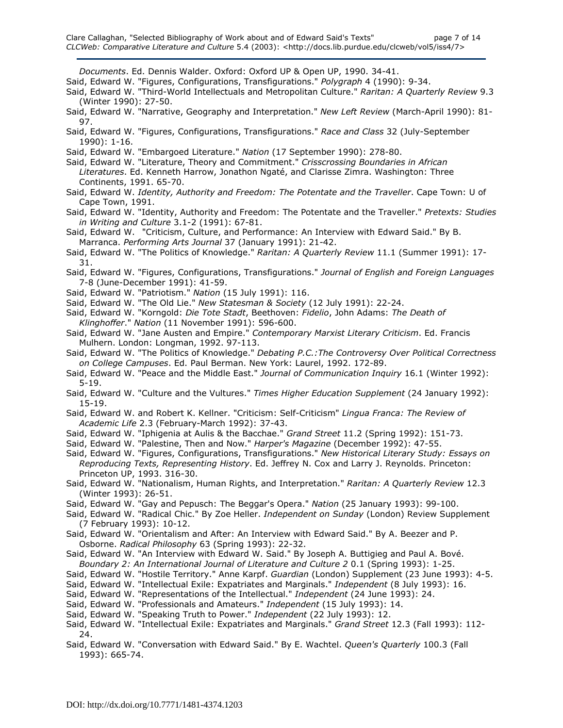Documents. Ed. Dennis Walder. Oxford: Oxford UP & Open UP, 1990. 34-41.

Said, Edward W. "Figures, Configurations, Transfigurations." Polygraph 4 (1990): 9-34.

- Said, Edward W. "Third-World Intellectuals and Metropolitan Culture." Raritan: A Quarterly Review 9.3 (Winter 1990): 27-50.
- Said, Edward W. "Narrative, Geography and Interpretation." New Left Review (March-April 1990): 81-97.
- Said, Edward W. "Figures, Configurations, Transfigurations." Race and Class 32 (July-September 1990): 1-16.
- Said, Edward W. "Embargoed Literature." Nation (17 September 1990): 278-80.
- Said, Edward W. "Literature, Theory and Commitment." Crisscrossing Boundaries in African Literatures. Ed. Kenneth Harrow, Jonathon Ngaté, and Clarisse Zimra. Washington: Three Continents, 1991. 65-70.
- Said, Edward W. Identity, Authority and Freedom: The Potentate and the Traveller. Cape Town: U of Cape Town, 1991.
- Said, Edward W. "Identity, Authority and Freedom: The Potentate and the Traveller." Pretexts: Studies in Writing and Culture 3.1-2 (1991): 67-81.
- Said, Edward W. "Criticism, Culture, and Performance: An Interview with Edward Said." By B. Marranca. Performing Arts Journal 37 (January 1991): 21-42.
- Said, Edward W. "The Politics of Knowledge." Raritan: A Quarterly Review 11.1 (Summer 1991): 17-31.
- Said, Edward W. "Figures, Configurations, Transfigurations." Journal of English and Foreign Languages 7-8 (June-December 1991): 41-59.
- Said, Edward W. "Patriotism." Nation (15 July 1991): 116.
- Said, Edward W. "The Old Lie." New Statesman & Society (12 July 1991): 22-24.
- Said, Edward W. "Korngold: Die Tote Stadt, Beethoven: Fidelio, John Adams: The Death of Klinghoffer." Nation (11 November 1991): 596-600.
- Said, Edward W. "Jane Austen and Empire." Contemporary Marxist Literary Criticism. Ed. Francis Mulhern. London: Longman, 1992. 97-113.
- Said, Edward W. "The Politics of Knowledge." Debating P.C.: The Controversy Over Political Correctness on College Campuses. Ed. Paul Berman. New York: Laurel, 1992. 172-89.
- Said, Edward W. "Peace and the Middle East." Journal of Communication Inquiry 16.1 (Winter 1992): 5-19.
- Said, Edward W. "Culture and the Vultures." Times Higher Education Supplement (24 January 1992): 15-19.
- Said, Edward W. and Robert K. Kellner. "Criticism: Self-Criticism" Lingua Franca: The Review of Academic Life 2.3 (February-March 1992): 37-43.
- Said, Edward W. "Iphigenia at Aulis & the Bacchae." Grand Street 11.2 (Spring 1992): 151-73.
- Said, Edward W. "Palestine, Then and Now." Harper's Magazine (December 1992): 47-55.
- Said, Edward W. "Figures, Configurations, Transfigurations." New Historical Literary Study: Essays on Reproducing Texts, Representing History. Ed. Jeffrey N. Cox and Larry J. Reynolds. Princeton: Princeton UP, 1993. 316-30.
- Said, Edward W. "Nationalism, Human Rights, and Interpretation." Raritan: A Quarterly Review 12.3 (Winter 1993): 26-51.
- Said, Edward W. "Gay and Pepusch: The Beggar's Opera." Nation (25 January 1993): 99-100.
- Said, Edward W. "Radical Chic." By Zoe Heller. Independent on Sunday (London) Review Supplement (7 February 1993): 10-12.
- Said, Edward W. "Orientalism and After: An Interview with Edward Said." By A. Beezer and P. Osborne. Radical Philosophy 63 (Spring 1993): 22-32.
- Said, Edward W. "An Interview with Edward W. Said." By Joseph A. Buttigieg and Paul A. Bové. Boundary 2: An International Journal of Literature and Culture 2 0.1 (Spring 1993): 1-25.
- Said, Edward W. "Hostile Territory." Anne Karpf. Guardian (London) Supplement (23 June 1993): 4-5.
- Said, Edward W. "Intellectual Exile: Expatriates and Marginals." Independent (8 July 1993): 16.
- Said, Edward W. "Representations of the Intellectual." Independent (24 June 1993): 24.
- Said, Edward W. "Professionals and Amateurs." Independent (15 July 1993): 14.
- Said, Edward W. "Speaking Truth to Power." Independent (22 July 1993): 12.
- Said, Edward W. "Intellectual Exile: Expatriates and Marginals." Grand Street 12.3 (Fall 1993): 112- 24.
- Said, Edward W. "Conversation with Edward Said." By E. Wachtel. Queen's Quarterly 100.3 (Fall 1993): 665-74.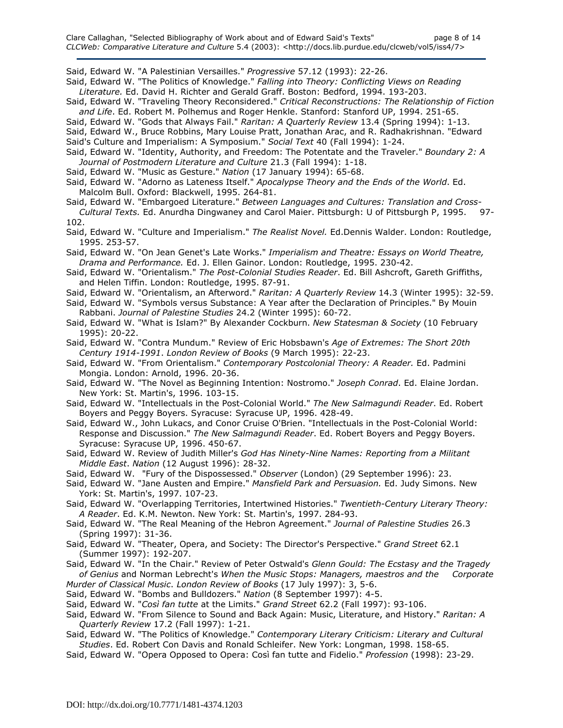Said, Edward W. "A Palestinian Versailles." Progressive 57.12 (1993): 22-26.

- Said, Edward W. "The Politics of Knowledge." Falling into Theory: Conflicting Views on Reading Literature. Ed. David H. Richter and Gerald Graff. Boston: Bedford, 1994. 193-203.
- Said, Edward W. "Traveling Theory Reconsidered." Critical Reconstructions: The Relationship of Fiction and Life. Ed. Robert M. Polhemus and Roger Henkle. Stanford: Stanford UP, 1994. 251-65.
- Said, Edward W. "Gods that Always Fail." Raritan: A Quarterly Review 13.4 (Spring 1994): 1-13.
- Said, Edward W., Bruce Robbins, Mary Louise Pratt, Jonathan Arac, and R. Radhakrishnan. "Edward
- Said's Culture and Imperialism: A Symposium." Social Text 40 (Fall 1994): 1-24.
- Said, Edward W. "Identity, Authority, and Freedom: The Potentate and the Traveler." Boundary 2: A Journal of Postmodern Literature and Culture 21.3 (Fall 1994): 1-18.
- Said, Edward W. "Music as Gesture." Nation (17 January 1994): 65-68.
- Said, Edward W. "Adorno as Lateness Itself." Apocalypse Theory and the Ends of the World. Ed. Malcolm Bull. Oxford: Blackwell, 1995. 264-81.
- Said, Edward W. "Embargoed Literature." Between Languages and Cultures: Translation and Cross-Cultural Texts. Ed. Anurdha Dingwaney and Carol Maier. Pittsburgh: U of Pittsburgh P, 1995. 97-
- 102.
- Said, Edward W. "Culture and Imperialism." The Realist Novel. Ed.Dennis Walder. London: Routledge, 1995. 253-57.
- Said, Edward W. "On Jean Genet's Late Works." Imperialism and Theatre: Essays on World Theatre, Drama and Performance. Ed. J. Ellen Gainor. London: Routledge, 1995. 230-42.
- Said, Edward W. "Orientalism." The Post-Colonial Studies Reader. Ed. Bill Ashcroft, Gareth Griffiths, and Helen Tiffin. London: Routledge, 1995. 87-91.
- Said, Edward W. "Orientalism, an Afterword." Raritan: A Quarterly Review 14.3 (Winter 1995): 32-59.
- Said, Edward W. "Symbols versus Substance: A Year after the Declaration of Principles." By Mouin Rabbani. Journal of Palestine Studies 24.2 (Winter 1995): 60-72.
- Said, Edward W. "What is Islam?" By Alexander Cockburn. New Statesman & Society (10 February 1995): 20-22.
- Said, Edward W. "Contra Mundum." Review of Eric Hobsbawn's Age of Extremes: The Short 20th Century 1914-1991. London Review of Books (9 March 1995): 22-23.
- Said, Edward W. "From Orientalism." Contemporary Postcolonial Theory: A Reader. Ed. Padmini Mongia. London: Arnold, 1996. 20-36.
- Said, Edward W. "The Novel as Beginning Intention: Nostromo." Joseph Conrad. Ed. Elaine Jordan. New York: St. Martin's, 1996. 103-15.
- Said, Edward W. "Intellectuals in the Post-Colonial World." The New Salmagundi Reader. Ed. Robert Boyers and Peggy Boyers. Syracuse: Syracuse UP, 1996. 428-49.
- Said, Edward W., John Lukacs, and Conor Cruise O'Brien. "Intellectuals in the Post-Colonial World: Response and Discussion." The New Salmagundi Reader. Ed. Robert Boyers and Peggy Boyers. Syracuse: Syracuse UP, 1996. 450-67.
- Said, Edward W. Review of Judith Miller's God Has Ninety-Nine Names: Reporting from a Militant Middle East. Nation (12 August 1996): 28-32.
- Said, Edward W. "Fury of the Dispossessed." Observer (London) (29 September 1996): 23.
- Said, Edward W. "Jane Austen and Empire." Mansfield Park and Persuasion. Ed. Judy Simons. New York: St. Martin's, 1997. 107-23.
- Said, Edward W. "Overlapping Territories, Intertwined Histories." Twentieth-Century Literary Theory: A Reader. Ed. K.M. Newton. New York: St. Martin's, 1997. 284-93.
- Said, Edward W. "The Real Meaning of the Hebron Agreement." Journal of Palestine Studies 26.3 (Spring 1997): 31-36.
- Said, Edward W. "Theater, Opera, and Society: The Director's Perspective." Grand Street 62.1 (Summer 1997): 192-207.
- Said, Edward W. "In the Chair." Review of Peter Ostwald's Glenn Gould: The Ecstasy and the Tragedy of Genius and Norman Lebrecht's When the Music Stops: Managers, maestros and the Corporate
- Murder of Classical Music. London Review of Books (17 July 1997): 3, 5-6. Said, Edward W. "Bombs and Bulldozers." Nation (8 September 1997): 4-5.
- Said, Edward W. "Così fan tutte at the Limits." Grand Street 62.2 (Fall 1997): 93-106.
- Said, Edward W. "From Silence to Sound and Back Again: Music, Literature, and History." Raritan: A Quarterly Review 17.2 (Fall 1997): 1-21.
- Said, Edward W. "The Politics of Knowledge." Contemporary Literary Criticism: Literary and Cultural Studies. Ed. Robert Con Davis and Ronald Schleifer. New York: Longman, 1998. 158-65.
- Said, Edward W. "Opera Opposed to Opera: Così fan tutte and Fidelio." Profession (1998): 23-29.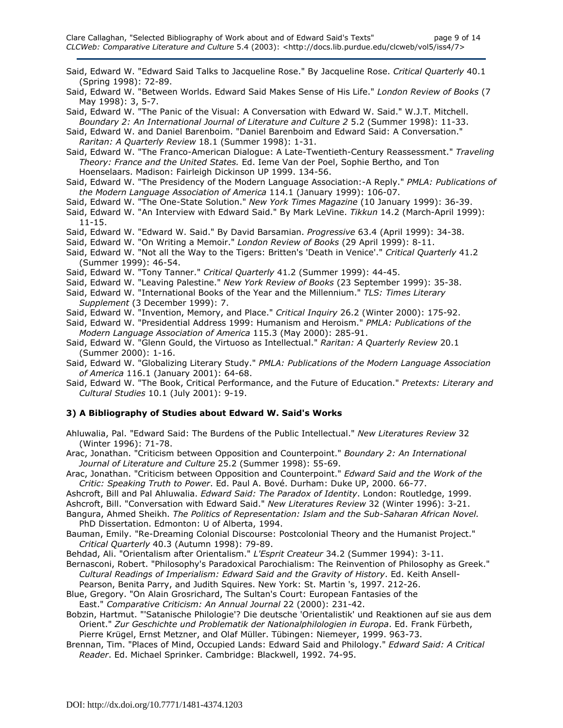- Said, Edward W. "Edward Said Talks to Jacqueline Rose." By Jacqueline Rose. Critical Quarterly 40.1 (Spring 1998): 72-89.
- Said, Edward W. "Between Worlds. Edward Said Makes Sense of His Life." London Review of Books (7 May 1998): 3, 5-7.
- Said, Edward W. "The Panic of the Visual: A Conversation with Edward W. Said." W.J.T. Mitchell. Boundary 2: An International Journal of Literature and Culture 2 5.2 (Summer 1998): 11-33.
- Said, Edward W. and Daniel Barenboim. "Daniel Barenboim and Edward Said: A Conversation." Raritan: A Quarterly Review 18.1 (Summer 1998): 1-31.
- Said, Edward W. "The Franco-American Dialogue: A Late-Twentieth-Century Reassessment." Traveling Theory: France and the United States. Ed. Ieme Van der Poel, Sophie Bertho, and Ton Hoenselaars. Madison: Fairleigh Dickinson UP 1999. 134-56.
- Said, Edward W. "The Presidency of the Modern Language Association:-A Reply." PMLA: Publications of the Modern Language Association of America 114.1 (January 1999): 106-07.
- Said, Edward W. "The One-State Solution." New York Times Magazine (10 January 1999): 36-39.
- Said, Edward W. "An Interview with Edward Said." By Mark LeVine. Tikkun 14.2 (March-April 1999): 11-15.
- Said, Edward W. "Edward W. Said." By David Barsamian. Progressive 63.4 (April 1999): 34-38.
- Said, Edward W. "On Writing a Memoir." London Review of Books (29 April 1999): 8-11.
- Said, Edward W. "Not all the Way to the Tigers: Britten's 'Death in Venice'." Critical Quarterly 41.2 (Summer 1999): 46-54.
- Said, Edward W. "Tony Tanner." Critical Quarterly 41.2 (Summer 1999): 44-45.
- Said, Edward W. "Leaving Palestine." New York Review of Books (23 September 1999): 35-38.
- Said, Edward W. "International Books of the Year and the Millennium." TLS: Times Literary Supplement (3 December 1999): 7.
- Said, Edward W. "Invention, Memory, and Place." Critical Inquiry 26.2 (Winter 2000): 175-92.
- Said, Edward W. "Presidential Address 1999: Humanism and Heroism." PMLA: Publications of the Modern Language Association of America 115.3 (May 2000): 285-91.
- Said, Edward W. "Glenn Gould, the Virtuoso as Intellectual." Raritan: A Quarterly Review 20.1 (Summer 2000): 1-16.
- Said, Edward W. "Globalizing Literary Study." PMLA: Publications of the Modern Language Association of America 116.1 (January 2001): 64-68.
- Said, Edward W. "The Book, Critical Performance, and the Future of Education." Pretexts: Literary and Cultural Studies 10.1 (July 2001): 9-19.

## 3) A Bibliography of Studies about Edward W. Said's Works

- Ahluwalia, Pal. "Edward Said: The Burdens of the Public Intellectual." New Literatures Review 32 (Winter 1996): 71-78.
- Arac, Jonathan. "Criticism between Opposition and Counterpoint." Boundary 2: An International Journal of Literature and Culture 25.2 (Summer 1998): 55-69.
- Arac, Jonathan. "Criticism between Opposition and Counterpoint." Edward Said and the Work of the Critic: Speaking Truth to Power. Ed. Paul A. Bové. Durham: Duke UP, 2000. 66-77.
- Ashcroft, Bill and Pal Ahluwalia. Edward Said: The Paradox of Identity. London: Routledge, 1999.
- Ashcroft, Bill. "Conversation with Edward Said." New Literatures Review 32 (Winter 1996): 3-21.
- Bangura, Ahmed Sheikh. The Politics of Representation: Islam and the Sub-Saharan African Novel. PhD Dissertation. Edmonton: U of Alberta, 1994.
- Bauman, Emily. "Re-Dreaming Colonial Discourse: Postcolonial Theory and the Humanist Project." Critical Quarterly 40.3 (Autumn 1998): 79-89.
- Behdad, Ali. "Orientalism after Orientalism." L'Esprit Createur 34.2 (Summer 1994): 3-11.
- Bernasconi, Robert. "Philosophy's Paradoxical Parochialism: The Reinvention of Philosophy as Greek." Cultural Readings of Imperialism: Edward Said and the Gravity of History. Ed. Keith Ansell-
- Pearson, Benita Parry, and Judith Squires. New York: St. Martin 's, 1997. 212-26.
- Blue, Gregory. "On Alain Grosrichard, The Sultan's Court: European Fantasies of the East." Comparative Criticism: An Annual Journal 22 (2000): 231-42.
- Bobzin, Hartmut. "'Satanische Philologie'? Die deutsche 'Orientalistik' und Reaktionen auf sie aus dem Orient." Zur Geschichte und Problematik der Nationalphilologien in Europa. Ed. Frank Fürbeth, Pierre Krügel, Ernst Metzner, and Olaf Müller. Tübingen: Niemeyer, 1999. 963-73.
- Brennan, Tim. "Places of Mind, Occupied Lands: Edward Said and Philology." Edward Said: A Critical Reader. Ed. Michael Sprinker. Cambridge: Blackwell, 1992. 74-95.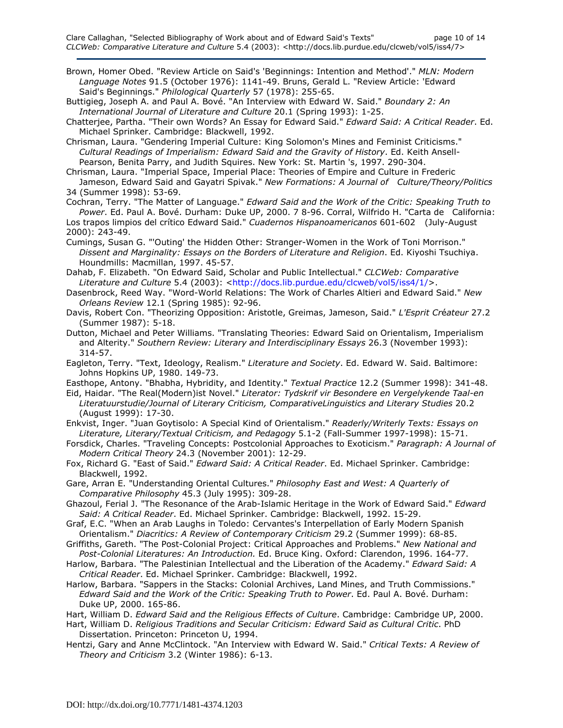Brown, Homer Obed. "Review Article on Said's 'Beginnings: Intention and Method'." MLN: Modern Language Notes 91.5 (October 1976): 1141-49. Bruns, Gerald L. "Review Article: 'Edward Said's Beginnings." Philological Quarterly 57 (1978): 255-65.

Buttigieg, Joseph A. and Paul A. Bové. "An Interview with Edward W. Said." Boundary 2: An International Journal of Literature and Culture 20.1 (Spring 1993): 1-25.

Chatterjee, Partha. "Their own Words? An Essay for Edward Said." Edward Said: A Critical Reader. Ed. Michael Sprinker. Cambridge: Blackwell, 1992.

Chrisman, Laura. "Gendering Imperial Culture: King Solomon's Mines and Feminist Criticisms." Cultural Readings of Imperialism: Edward Said and the Gravity of History. Ed. Keith Ansell- Pearson, Benita Parry, and Judith Squires. New York: St. Martin 's, 1997. 290-304.

Chrisman, Laura. "Imperial Space, Imperial Place: Theories of Empire and Culture in Frederic Jameson, Edward Said and Gayatri Spivak." New Formations: A Journal of Culture/Theory/Politics 34 (Summer 1998): 53-69.

Cochran, Terry. "The Matter of Language." Edward Said and the Work of the Critic: Speaking Truth to Power. Ed. Paul A. Bové. Durham: Duke UP, 2000. 7 8-96. Corral, Wilfrido H. "Carta de California:

Los trapos limpios del crítico Edward Said." Cuadernos Hispanoamericanos 601-602 (July-August 2000): 243-49.

Cumings, Susan G. "'Outing' the Hidden Other: Stranger-Women in the Work of Toni Morrison." Dissent and Marginality: Essays on the Borders of Literature and Religion. Ed. Kiyoshi Tsuchiya. Houndmills: Macmillan, 1997. 45-57.

Dahab, F. Elizabeth. "On Edward Said, Scholar and Public Intellectual." CLCWeb: Comparative Literature and Culture 5.4 (2003): <http://docs.lib.purdue.edu/clcweb/vol5/iss4/1/>.

Dasenbrock, Reed Way. "Word-World Relations: The Work of Charles Altieri and Edward Said." New Orleans Review 12.1 (Spring 1985): 92-96.

Davis, Robert Con. "Theorizing Opposition: Aristotle, Greimas, Jameson, Said." L'Esprit Créateur 27.2 (Summer 1987): 5-18.

Dutton, Michael and Peter Williams. "Translating Theories: Edward Said on Orientalism, Imperialism and Alterity." Southern Review: Literary and Interdisciplinary Essays 26.3 (November 1993): 314-57.

Eagleton, Terry. "Text, Ideology, Realism." Literature and Society. Ed. Edward W. Said. Baltimore: Johns Hopkins UP, 1980. 149-73.

Easthope, Antony. "Bhabha, Hybridity, and Identity." Textual Practice 12.2 (Summer 1998): 341-48.

Eid, Haidar. "The Real(Modern)ist Novel." Literator: Tydskrif vir Besondere en Vergelykende Taal-en Literatuurstudie/Journal of Literary Criticism, ComparativeLinguistics and Literary Studies 20.2 (August 1999): 17-30.

Enkvist, Inger. "Juan Goytisolo: A Special Kind of Orientalism." Readerly/Writerly Texts: Essays on Literature, Literary/Textual Criticism, and Pedagogy 5.1-2 (Fall-Summer 1997-1998): 15-71.

Forsdick, Charles. "Traveling Concepts: Postcolonial Approaches to Exoticism." Paragraph: A Journal of Modern Critical Theory 24.3 (November 2001): 12-29.

Fox, Richard G. "East of Said." Edward Said: A Critical Reader. Ed. Michael Sprinker. Cambridge: Blackwell, 1992.

Gare, Arran E. "Understanding Oriental Cultures." Philosophy East and West: A Quarterly of Comparative Philosophy 45.3 (July 1995): 309-28.

Ghazoul, Ferial J. "The Resonance of the Arab-Islamic Heritage in the Work of Edward Said." Edward Said: A Critical Reader. Ed. Michael Sprinker. Cambridge: Blackwell, 1992. 15-29.

Graf, E.C. "When an Arab Laughs in Toledo: Cervantes's Interpellation of Early Modern Spanish Orientalism." Diacritics: A Review of Contemporary Criticism 29.2 (Summer 1999): 68-85.

Griffiths, Gareth. "The Post-Colonial Project: Critical Approaches and Problems." New National and Post-Colonial Literatures: An Introduction. Ed. Bruce King. Oxford: Clarendon, 1996. 164-77.

Harlow, Barbara. "The Palestinian Intellectual and the Liberation of the Academy." Edward Said: A Critical Reader. Ed. Michael Sprinker. Cambridge: Blackwell, 1992.

Harlow, Barbara. "Sappers in the Stacks: Colonial Archives, Land Mines, and Truth Commissions." Edward Said and the Work of the Critic: Speaking Truth to Power. Ed. Paul A. Bové. Durham: Duke UP, 2000. 165-86.

Hart, William D. Edward Said and the Religious Effects of Culture. Cambridge: Cambridge UP, 2000.

Hart, William D. Religious Traditions and Secular Criticism: Edward Said as Cultural Critic. PhD Dissertation. Princeton: Princeton U, 1994.

Hentzi, Gary and Anne McClintock. "An Interview with Edward W. Said." Critical Texts: A Review of Theory and Criticism 3.2 (Winter 1986): 6-13.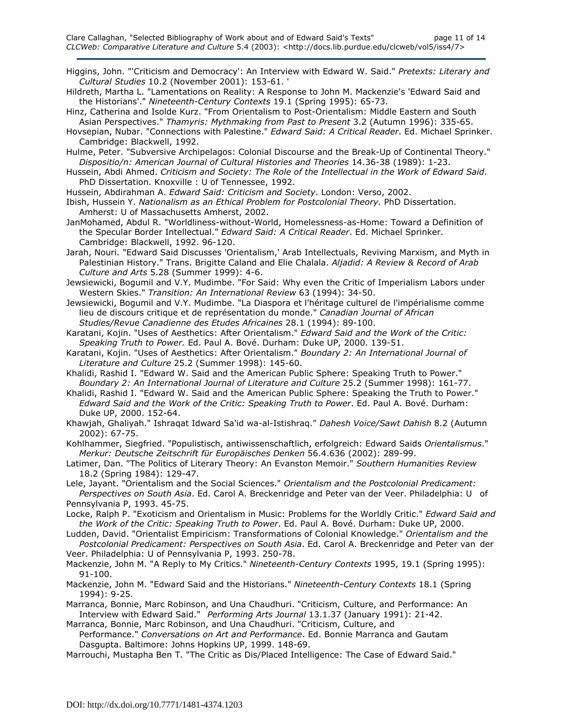- Higgins, John. "'Criticism and Democracy': An Interview with Edward W. Said." Pretexts: Literary and Cultural Studies 10.2 (November 2001): 153-61. '
- Hildreth, Martha L. "Lamentations on Reality: A Response to John M. Mackenzie's 'Edward Said and the Historians'." Nineteenth-Century Contexts 19.1 (Spring 1995): 65-73.
- Hinz, Catherina and Isolde Kurz. "From Orientalism to Post-Orientalism: Middle Eastern and South Asian Perspectives." Thamyris: Mythmaking from Past to Present 3.2 (Autumn 1996): 335-65.
- Hovsepian, Nubar. "Connections with Palestine." Edward Said: A Critical Reader. Ed. Michael Sprinker. Cambridge: Blackwell, 1992.
- Hulme, Peter. "Subversive Archipelagos: Colonial Discourse and the Break-Up of Continental Theory." Dispositio/n: American Journal of Cultural Histories and Theories 14.36-38 (1989): 1-23.
- Hussein, Abdi Ahmed. Criticism and Society: The Role of the Intellectual in the Work of Edward Said. PhD Dissertation. Knoxville : U of Tennessee, 1992.
- Hussein, Abdirahman A. Edward Said: Criticism and Society. London: Verso, 2002.
- Ibish, Hussein Y. Nationalism as an Ethical Problem for Postcolonial Theory. PhD Dissertation. Amherst: U of Massachusetts Amherst, 2002.
- JanMohamed, Abdul R. "Worldliness-without-World, Homelessness-as-Home: Toward a Definition of the Specular Border Intellectual." Edward Said: A Critical Reader. Ed. Michael Sprinker. Cambridge: Blackwell, 1992. 96-120.
- Jarah, Nouri. "Edward Said Discusses 'Orientalism,' Arab Intellectuals, Reviving Marxism, and Myth in Palestinian History." Trans. Brigitte Caland and Elie Chalala. Aljadid: A Review & Record of Arab Culture and Arts 5.28 (Summer 1999): 4-6.
- Jewsiewicki, Bogumil and V.Y. Mudimbe. "For Said: Why even the Critic of Imperialism Labors under Western Skies." Transition: An International Review 63 (1994): 34-50.
- Jewsiewicki, Bogumil and V.Y. Mudimbe. "La Diaspora et l'héritage culturel de l'impérialisme comme lieu de discours critique et de représentation du monde." Canadian Journal of African Studies/Revue Canadienne des Etudes Africaines 28.1 (1994): 89-100.
- Karatani, Kojin. "Uses of Aesthetics: After Orientalism." Edward Said and the Work of the Critic: Speaking Truth to Power. Ed. Paul A. Bové. Durham: Duke UP, 2000. 139-51.
- Karatani, Kojin. "Uses of Aesthetics: After Orientalism." Boundary 2: An International Journal of Literature and Culture 25.2 (Summer 1998): 145-60.
- Khalidi, Rashid I. "Edward W. Said and the American Public Sphere: Speaking Truth to Power." Boundary 2: An International Journal of Literature and Culture 25.2 (Summer 1998): 161-77.
- Khalidi, Rashid I. "Edward W. Said and the American Public Sphere: Speaking the Truth to Power." Edward Said and the Work of the Critic: Speaking Truth to Power. Ed. Paul A. Bové. Durham: Duke UP, 2000. 152-64.
- Khawjah, Ghaliyah." Ishraqat Idward Sa'id wa-al-Istishraq." Dahesh Voice/Sawt Dahish 8.2 (Autumn 2002): 67-75.
- Kohlhammer, Siegfried. "Populistisch, antiwissenschaftlich, erfolgreich: Edward Saids Orientalismus." Merkur: Deutsche Zeitschrift für Europäisches Denken 56.4.636 (2002): 289-99.
- Latimer, Dan. "The Politics of Literary Theory: An Evanston Memoir." Southern Humanities Review 18.2 (Spring 1984): 129-47.
- Lele, Jayant. "Orientalism and the Social Sciences." Orientalism and the Postcolonial Predicament: Perspectives on South Asia. Ed. Carol A. Breckenridge and Peter van der Veer. Philadelphia: U of Pennsylvania P, 1993. 45-75.
- Locke, Ralph P. "Exoticism and Orientalism in Music: Problems for the Worldly Critic." Edward Said and the Work of the Critic: Speaking Truth to Power. Ed. Paul A. Bové. Durham: Duke UP, 2000.
- Ludden, David. "Orientalist Empiricism: Transformations of Colonial Knowledge." Orientalism and the Postcolonial Predicament: Perspectives on South Asia. Ed. Carol A. Breckenridge and Peter van der
- Veer. Philadelphia: U of Pennsylvania P, 1993. 250-78.
- Mackenzie, John M. "A Reply to My Critics." Nineteenth-Century Contexts 1995, 19.1 (Spring 1995): 91-100.
- Mackenzie, John M. "Edward Said and the Historians." Nineteenth-Century Contexts 18.1 (Spring 1994): 9-25.
- Marranca, Bonnie, Marc Robinson, and Una Chaudhuri. "Criticism, Culture, and Performance: An Interview with Edward Said." Performing Arts Journal 13.1.37 (January 1991): 21-42.

Marranca, Bonnie, Marc Robinson, and Una Chaudhuri. "Criticism, Culture, and Performance." Conversations on Art and Performance. Ed. Bonnie Marranca and Gautam Dasgupta. Baltimore: Johns Hopkins UP, 1999. 148-69.

Marrouchi, Mustapha Ben T. "The Critic as Dis/Placed Intelligence: The Case of Edward Said."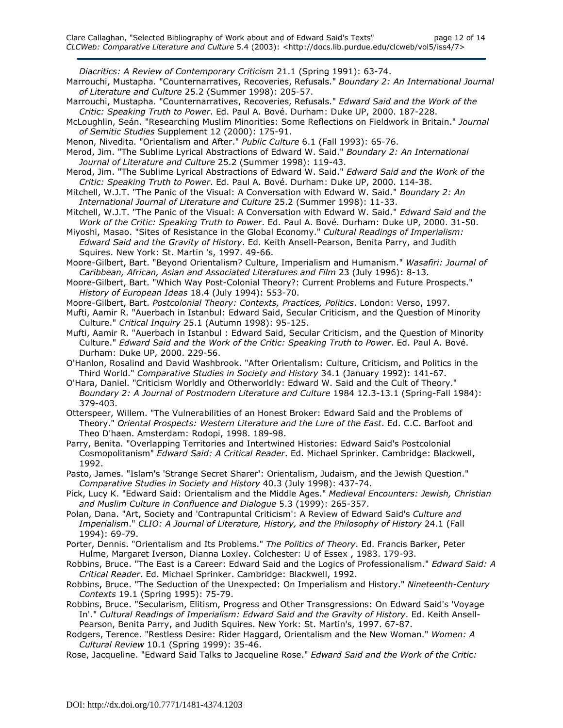Diacritics: A Review of Contemporary Criticism 21.1 (Spring 1991): 63-74.

Marrouchi, Mustapha. "Counternarratives, Recoveries, Refusals." Boundary 2: An International Journal of Literature and Culture 25.2 (Summer 1998): 205-57.

- Marrouchi, Mustapha. "Counternarratives, Recoveries, Refusals." Edward Said and the Work of the Critic: Speaking Truth to Power. Ed. Paul A. Bové. Durham: Duke UP, 2000. 187-228.
- McLoughlin, Seán. "Researching Muslim Minorities: Some Reflections on Fieldwork in Britain." Journal of Semitic Studies Supplement 12 (2000): 175-91.
- Menon, Nivedita. "Orientalism and After." Public Culture 6.1 (Fall 1993): 65-76.
- Merod, Jim. "The Sublime Lyrical Abstractions of Edward W. Said." Boundary 2: An International Journal of Literature and Culture 25.2 (Summer 1998): 119-43.
- Merod, Jim. "The Sublime Lyrical Abstractions of Edward W. Said." Edward Said and the Work of the Critic: Speaking Truth to Power. Ed. Paul A. Bové. Durham: Duke UP, 2000. 114-38.
- Mitchell, W.J.T. "The Panic of the Visual: A Conversation with Edward W. Said." Boundary 2: An International Journal of Literature and Culture 25.2 (Summer 1998): 11-33.
- Mitchell, W.J.T. "The Panic of the Visual: A Conversation with Edward W. Said." Edward Said and the Work of the Critic: Speaking Truth to Power. Ed. Paul A. Bové. Durham: Duke UP, 2000. 31-50.
- Miyoshi, Masao. "Sites of Resistance in the Global Economy." Cultural Readings of Imperialism: Edward Said and the Gravity of History. Ed. Keith Ansell-Pearson, Benita Parry, and Judith Squires. New York: St. Martin 's, 1997. 49-66.

Moore-Gilbert, Bart. "Beyond Orientalism? Culture, Imperialism and Humanism." Wasafiri: Journal of Caribbean, African, Asian and Associated Literatures and Film 23 (July 1996): 8-13.

- Moore-Gilbert, Bart. "Which Way Post-Colonial Theory?: Current Problems and Future Prospects." History of European Ideas 18.4 (July 1994): 553-70.
- Moore-Gilbert, Bart. Postcolonial Theory: Contexts, Practices, Politics. London: Verso, 1997.
- Mufti, Aamir R. "Auerbach in Istanbul: Edward Said, Secular Criticism, and the Question of Minority Culture." Critical Inquiry 25.1 (Autumn 1998): 95-125.
- Mufti, Aamir R. "Auerbach in Istanbul : Edward Said, Secular Criticism, and the Question of Minority Culture." Edward Said and the Work of the Critic: Speaking Truth to Power. Ed. Paul A. Bové. Durham: Duke UP, 2000. 229-56.
- O'Hanlon, Rosalind and David Washbrook. "After Orientalism: Culture, Criticism, and Politics in the Third World." Comparative Studies in Society and History 34.1 (January 1992): 141-67.
- O'Hara, Daniel. "Criticism Worldly and Otherworldly: Edward W. Said and the Cult of Theory." Boundary 2: A Journal of Postmodern Literature and Culture 1984 12.3-13.1 (Spring-Fall 1984): 379-403.
- Otterspeer, Willem. "The Vulnerabilities of an Honest Broker: Edward Said and the Problems of Theory." Oriental Prospects: Western Literature and the Lure of the East. Ed. C.C. Barfoot and Theo D'haen. Amsterdam: Rodopi, 1998. 189-98.
- Parry, Benita. "Overlapping Territories and Intertwined Histories: Edward Said's Postcolonial Cosmopolitanism" Edward Said: A Critical Reader. Ed. Michael Sprinker. Cambridge: Blackwell, 1992.
- Pasto, James. "Islam's 'Strange Secret Sharer': Orientalism, Judaism, and the Jewish Question." Comparative Studies in Society and History 40.3 (July 1998): 437-74.
- Pick, Lucy K. "Edward Said: Orientalism and the Middle Ages." Medieval Encounters: Jewish, Christian and Muslim Culture in Confluence and Dialogue 5.3 (1999): 265-357.
- Polan, Dana. "Art, Society and 'Contrapuntal Criticism': A Review of Edward Said's Culture and Imperialism." CLIO: A Journal of Literature, History, and the Philosophy of History 24.1 (Fall 1994): 69-79.
- Porter, Dennis. "Orientalism and Its Problems." The Politics of Theory. Ed. Francis Barker, Peter Hulme, Margaret Iverson, Dianna Loxley. Colchester: U of Essex , 1983. 179-93.
- Robbins, Bruce. "The East is a Career: Edward Said and the Logics of Professionalism." Edward Said: A Critical Reader. Ed. Michael Sprinker. Cambridge: Blackwell, 1992.
- Robbins, Bruce. "The Seduction of the Unexpected: On Imperialism and History." Nineteenth-Century Contexts 19.1 (Spring 1995): 75-79.
- Robbins, Bruce. "Secularism, Elitism, Progress and Other Transgressions: On Edward Said's 'Voyage In'." Cultural Readings of Imperialism: Edward Said and the Gravity of History. Ed. Keith Ansell- Pearson, Benita Parry, and Judith Squires. New York: St. Martin's, 1997. 67-87.
- Rodgers, Terence. "Restless Desire: Rider Haggard, Orientalism and the New Woman." Women: A Cultural Review 10.1 (Spring 1999): 35-46.
- Rose, Jacqueline. "Edward Said Talks to Jacqueline Rose." Edward Said and the Work of the Critic: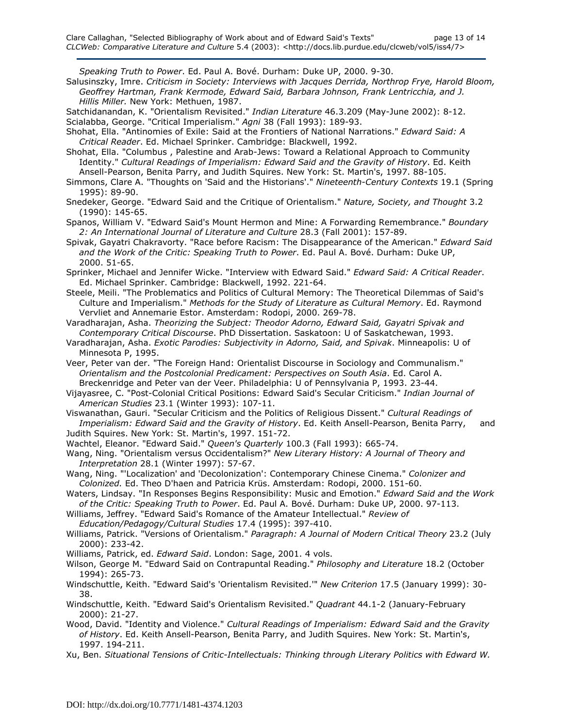Speaking Truth to Power. Ed. Paul A. Bové. Durham: Duke UP, 2000. 9-30.

- Salusinszky, Imre. Criticism in Society: Interviews with Jacques Derrida, Northrop Frye, Harold Bloom, Geoffrey Hartman, Frank Kermode, Edward Said, Barbara Johnson, Frank Lentricchia, and J. Hillis Miller. New York: Methuen, 1987.
- Satchidanandan, K. "Orientalism Revisited." Indian Literature 46.3.209 (May-June 2002): 8-12. Scialabba, George. "Critical Imperialism." Agni 38 (Fall 1993): 189-93.
- Shohat, Ella. "Antinomies of Exile: Said at the Frontiers of National Narrations." Edward Said: A Critical Reader. Ed. Michael Sprinker. Cambridge: Blackwell, 1992.
- Shohat, Ella. "Columbus , Palestine and Arab-Jews: Toward a Relational Approach to Community Identity." Cultural Readings of Imperialism: Edward Said and the Gravity of History. Ed. Keith Ansell-Pearson, Benita Parry, and Judith Squires. New York: St. Martin's, 1997. 88-105.
- Simmons, Clare A. "Thoughts on 'Said and the Historians'." Nineteenth-Century Contexts 19.1 (Spring 1995): 89-90.
- Snedeker, George. "Edward Said and the Critique of Orientalism." Nature, Society, and Thought 3.2 (1990): 145-65.
- Spanos, William V. "Edward Said's Mount Hermon and Mine: A Forwarding Remembrance." Boundary 2: An International Journal of Literature and Culture 28.3 (Fall 2001): 157-89.
- Spivak, Gayatri Chakravorty. "Race before Racism: The Disappearance of the American." Edward Said and the Work of the Critic: Speaking Truth to Power. Ed. Paul A. Bové. Durham: Duke UP, 2000. 51-65.
- Sprinker, Michael and Jennifer Wicke. "Interview with Edward Said." Edward Said: A Critical Reader. Ed. Michael Sprinker. Cambridge: Blackwell, 1992. 221-64.
- Steele, Meili. "The Problematics and Politics of Cultural Memory: The Theoretical Dilemmas of Said's Culture and Imperialism." Methods for the Study of Literature as Cultural Memory. Ed. Raymond Vervliet and Annemarie Estor. Amsterdam: Rodopi, 2000. 269-78.
- Varadharajan, Asha. Theorizing the Subject: Theodor Adorno, Edward Said, Gayatri Spivak and Contemporary Critical Discourse. PhD Dissertation. Saskatoon: U of Saskatchewan, 1993.
- Varadharajan, Asha. Exotic Parodies: Subjectivity in Adorno, Said, and Spivak. Minneapolis: U of Minnesota P, 1995.
- Veer, Peter van der. "The Foreign Hand: Orientalist Discourse in Sociology and Communalism." Orientalism and the Postcolonial Predicament: Perspectives on South Asia. Ed. Carol A. Breckenridge and Peter van der Veer. Philadelphia: U of Pennsylvania P, 1993. 23-44.
- Vijayasree, C. "Post-Colonial Critical Positions: Edward Said's Secular Criticism." Indian Journal of American Studies 23.1 (Winter 1993): 107-11.

Viswanathan, Gauri. "Secular Criticism and the Politics of Religious Dissent." Cultural Readings of Imperialism: Edward Said and the Gravity of History. Ed. Keith Ansell-Pearson, Benita Parry, and Judith Squires. New York: St. Martin's, 1997. 151-72.

- Wachtel, Eleanor. "Edward Said." Queen's Quarterly 100.3 (Fall 1993): 665-74.
- Wang, Ning. "Orientalism versus Occidentalism?" New Literary History: A Journal of Theory and Interpretation 28.1 (Winter 1997): 57-67.
- Wang, Ning. "'Localization' and 'Decolonization': Contemporary Chinese Cinema." Colonizer and Colonized. Ed. Theo D'haen and Patricia Krüs. Amsterdam: Rodopi, 2000. 151-60.
- Waters, Lindsay. "In Responses Begins Responsibility: Music and Emotion." Edward Said and the Work of the Critic: Speaking Truth to Power. Ed. Paul A. Bové. Durham: Duke UP, 2000. 97-113.
- Williams, Jeffrey. "Edward Said's Romance of the Amateur Intellectual." Review of Education/Pedagogy/Cultural Studies 17.4 (1995): 397-410.
- Williams, Patrick. "Versions of Orientalism." Paragraph: A Journal of Modern Critical Theory 23.2 (July 2000): 233-42.
- Williams, Patrick, ed. Edward Said. London: Sage, 2001. 4 vols.
- Wilson, George M. "Edward Said on Contrapuntal Reading." Philosophy and Literature 18.2 (October 1994): 265-73.
- Windschuttle, Keith. "Edward Said's 'Orientalism Revisited.'" New Criterion 17.5 (January 1999): 30- 38.
- Windschuttle, Keith. "Edward Said's Orientalism Revisited." Quadrant 44.1-2 (January-February 2000): 21-27.
- Wood, David. "Identity and Violence." Cultural Readings of Imperialism: Edward Said and the Gravity of History. Ed. Keith Ansell-Pearson, Benita Parry, and Judith Squires. New York: St. Martin's, 1997. 194-211.
- Xu, Ben. Situational Tensions of Critic-Intellectuals: Thinking through Literary Politics with Edward W.